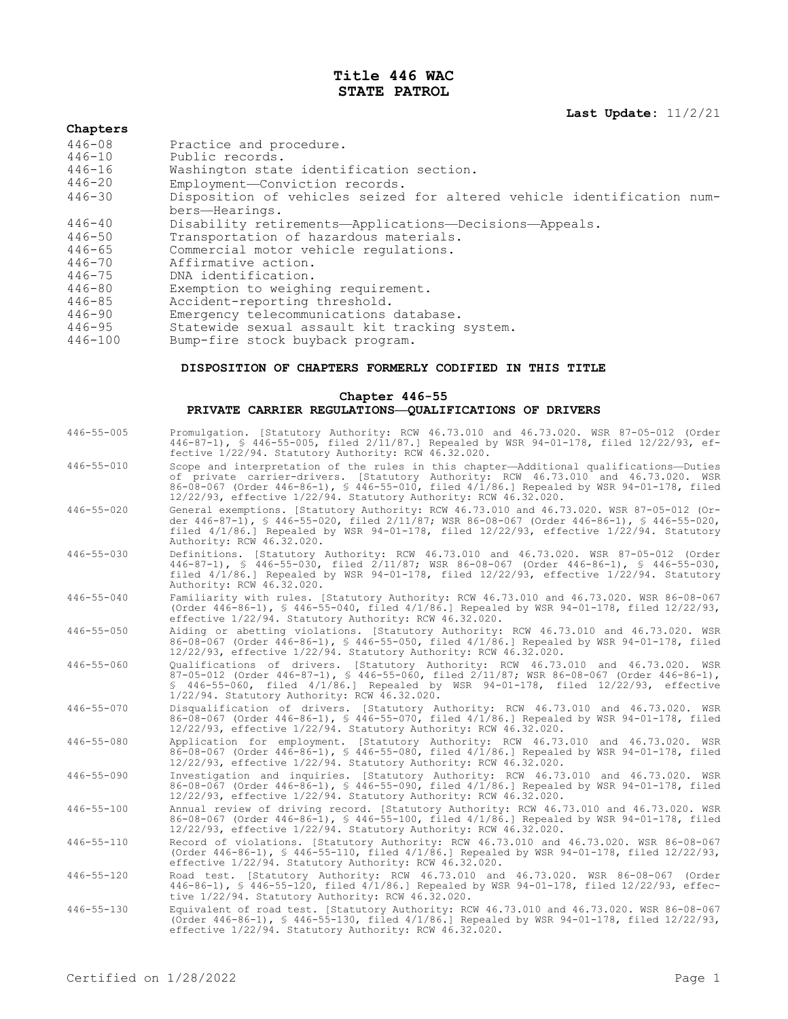# **Title 446 WAC STATE PATROL**

**Last Update:** 11/2/21

#### **Chapters**

- 446-08 Practice and procedure.<br>446-10 Public records.
- 446-10 Public records.
- 446-16 Washington state identification section.
- 446-20 Employment—Conviction records.
- Disposition of vehicles seized for altered vehicle identification num-
- bers—Hearings.

446-40 Disability retirements—Applications—Decisions—Appeals.

- 446-50 Transportation of hazardous materials.<br>446-65 Commercial motor vehicle requlations.
- 446-65 Commercial motor vehicle regulations.<br>446-70 Affirmative action.
- 446-70 Affirmative action.<br>446-75 DNA identification.
- 
- 446-75 DNA identification. 446-80 Exemption to weighing requirement.
- 
- 446-85 Accident-reporting threshold.<br>446-90 Emergency telecommunications 446-90 Emergency telecommunications database.
- 446-95 Statewide sexual assault kit tracking system.
- Bump-fire stock buyback program.

#### **DISPOSITION OF CHAPTERS FORMERLY CODIFIED IN THIS TITLE**

#### **Chapter 446-55 PRIVATE CARRIER REGULATIONS—QUALIFICATIONS OF DRIVERS**

446-55-005 Promulgation. [Statutory Authority: RCW 46.73.010 and 46.73.020. WSR 87-05-012 (Order 446-87-1), § 446-55-005, filed 2/11/87.] Repealed by WSR 94-01-178, filed 12/22/93, effective 1/22/94. Statutory Authority: RCW 46.32.020. 446-55-010 Scope and interpretation of the rules in this chapter—Additional qualifications—Duties of private carrier-drivers. [Statutory Authority: RCW 46.73.010 and 46.73.020. WSR 86-08-067 (Order 446-86-1), § 446-55-010, filed 4/1/86.] Repealed by WSR 94-01-178, filed 12/22/93, effective 1/22/94. Statutory Authority: RCW 46.32.020. 446-55-020 General exemptions. [Statutory Authority: RCW 46.73.010 and 46.73.020. WSR 87-05-012 (Order 446-87-1), § 446-55-020, filed 2/11/87; WSR 86-08-067 (Order 446-86-1), § 446-55-020, filed 4/1/86.] Repealed by WSR 94-01-178, filed 12/22/93, effective 1/22/94. Statutory Authority: RCW 46.32.020. 446-55-030 Definitions. [Statutory Authority: RCW 46.73.010 and 46.73.020. WSR 87-05-012 (Order 446-87-1), § 446-55-030, filed 2/11/87; WSR 86-08-067 (Order 446-86-1), § 446-55-030, filed 4/1/86.] Repealed by WSR 94-01-178, filed 12/22/93, effective 1/22/94. Statutory Authority: RCW 46.32.020. 446-55-040 Familiarity with rules. [Statutory Authority: RCW 46.73.010 and 46.73.020. WSR 86-08-067 (Order 446-86-1), § 446-55-040, filed 4/1/86.] Repealed by WSR 94-01-178, filed 12/22/93, effective 1/22/94. Statutory Authority: RCW 46.32.020. 446-55-050 Aiding or abetting violations. [Statutory Authority: RCW 46.73.010 and 46.73.020. WSR 86-08-067 (Order 446-86-1), § 446-55-050, filed 4/1/86.] Repealed by WSR 94-01-178, filed 12/22/93, effective 1/22/94. Statutory Authority: RCW 46.32.020. 446-55-060 Qualifications of drivers. [Statutory Authority: RCW 46.73.010 and 46.73.020. WSR 87-05-012 (Order 446-87-1), § 446-55-060, filed 2/11/87; WSR 86-08-067 (Order 446-86-1), § 446-55-060, filed 4/1/86.] Repealed by WSR 94-01-178, filed 12/22/93, effective 1/22/94. Statutory Authority: RCW 46.32.020. 446-55-070 Disqualification of drivers. [Statutory Authority: RCW 46.73.010 and 46.73.020. WSR 86-08-067 (Order 446-86-1), § 446-55-070, filed 4/1/86.] Repealed by WSR 94-01-178, filed 12/22/93, effective 1/22/94. Statutory Authority: RCW 46.32.020. 446-55-080 Application for employment. [Statutory Authority: RCW 46.73.010 and 46.73.020. WSR 86-08-067 (Order 446-86-1), § 446-55-080, filed 4/1/86.] Repealed by WSR 94-01-178, filed 12/22/93, effective 1/22/94. Statutory Authority: RCW 46.32.020. 446-55-090 Investigation and inquiries. [Statutory Authority: RCW 46.73.010 and 46.73.020. WSR 86-08-067 (Order 446-86-1), § 446-55-090, filed 4/1/86.] Repealed by WSR 94-01-178, filed 12/22/93, effective 1/22/94. Statutory Authority: RCW 46.32.020. 446-55-100 Annual review of driving record. [Statutory Authority: RCW 46.73.010 and 46.73.020. WSR 86-08-067 (Order 446-86-1), § 446-55-100, filed 4/1/86.] Repealed by WSR 94-01-178, filed 12/22/93, effective 1/22/94. Statutory Authority: RCW 46.32.020. 446-55-110 Record of violations. [Statutory Authority: RCW 46.73.010 and 46.73.020. WSR 86-08-067 (Order 446-86-1), § 446-55-110, filed 4/1/86.] Repealed by WSR 94-01-178, filed 12/22/93, effective 1/22/94. Statutory Authority: RCW 46.32.020. 446-55-120 Road test. [Statutory Authority: RCW 46.73.010 and 46.73.020. WSR 86-08-067 (Order 446-86-1), § 446-55-120, filed 4/1/86.] Repealed by WSR 94-01-178, filed 12/22/93, effective 1/22/94. Statutory Authority: RCW 46.32.020. 446-55-130 Equivalent of road test. [Statutory Authority: RCW 46.73.010 and 46.73.020. WSR 86-08-067 (Order 446-86-1), § 446-55-130, filed 4/1/86.] Repealed by WSR 94-01-178, filed 12/22/93, effective 1/22/94. Statutory Authority: RCW 46.32.020.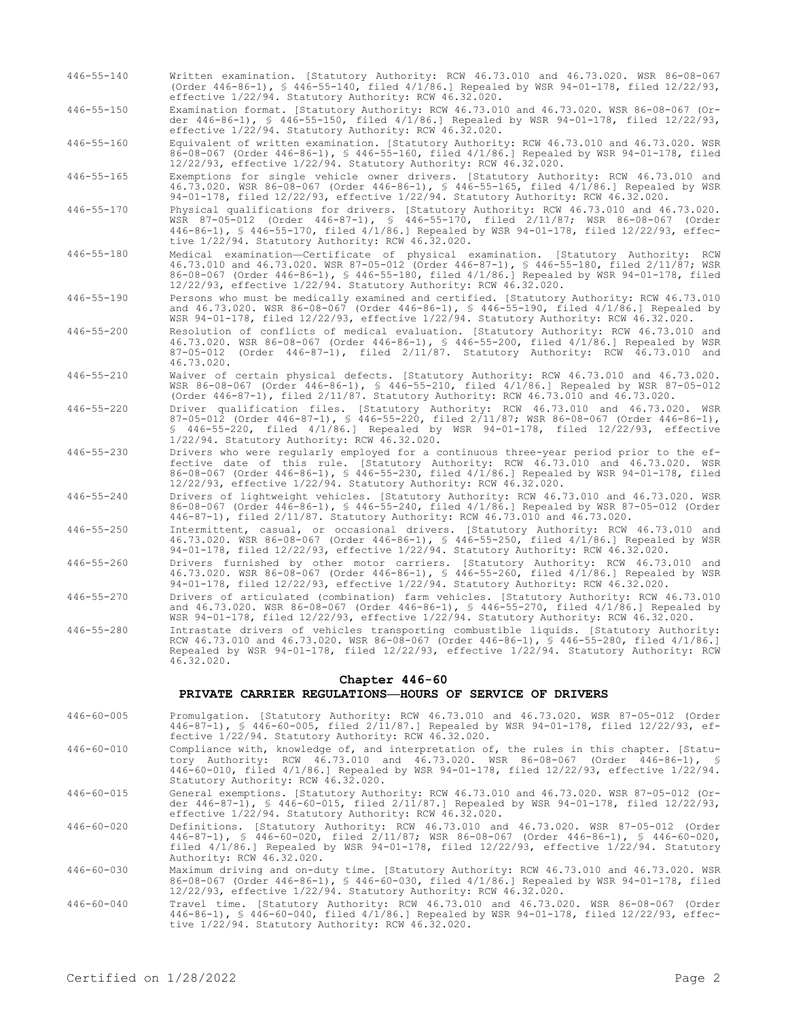- 446-55-140 Written examination. [Statutory Authority: RCW 46.73.010 and 46.73.020. WSR 86-08-067 (Order 446-86-1), § 446-55-140, filed 4/1/86.] Repealed by WSR 94-01-178, filed 12/22/93, effective 1/22/94. Statutory Authority: RCW 46.32.020.
- 446-55-150 Examination format. [Statutory Authority: RCW 46.73.010 and 46.73.020. WSR 86-08-067 (Order 446-86-1), § 446-55-150, filed 4/1/86.] Repealed by WSR 94-01-178, filed 12/22/93, effective 1/22/94. Statutory Authority: RCW 46.32.020.

446-55-160 Equivalent of written examination. [Statutory Authority: RCW 46.73.010 and 46.73.020. WSR 86-08-067 (Order 446-86-1), § 446-55-160, filed 4/1/86.] Repealed by WSR 94-01-178, filed 12/22/93, effective 1/22/94. Statutory Authority: RCW 46.32.020.

446-55-165 Exemptions for single vehicle owner drivers. [Statutory Authority: RCW 46.73.010 and 46.73.020. WSR 86-08-067 (Order 446-86-1), § 446-55-165, filed 4/1/86.] Repealed by WSR 94-01-178, filed 12/22/93, effective 1/22/94. Statutory Authority: RCW 46.32.020.

- 446-55-170 Physical qualifications for drivers. [Statutory Authority: RCW 46.73.010 and 46.73.020. WSR 87-05-012 (Order 446-87-1), § 446-55-170, filed 2/11/87; WSR 86-08-067 (Order 446-86-1), § 446-55-170, filed 4/1/86.] Repealed by WSR 94-01-178, filed 12/22/93, effective 1/22/94. Statutory Authority: RCW 46.32.020.
- 446-55-180 Medical examination—Certificate of physical examination. [Statutory Authority: RCW 46.73.010 and 46.73.020. WSR 87-05-012 (Order 446-87-1), § 446-55-180, filed 2/11/87; WSR 86-08-067 (Order 446-86-1), § 446-55-180, filed 4/1/86.] Repealed by WSR 94-01-178, filed 12/22/93, effective 1/22/94. Statutory Authority: RCW 46.32.020.
- 446-55-190 Persons who must be medically examined and certified. [Statutory Authority: RCW 46.73.010 and 46.73.020. WSR 86-08-067 (Order 446-86-1), § 446-55-190, filed 4/1/86.] Repealed by WSR 94-01-178, filed 12/22/93, effective 1/22/94. Statutory Authority: RCW 46.32.020.
- 446-55-200 Resolution of conflicts of medical evaluation. [Statutory Authority: RCW 46.73.010 and 46.73.020. WSR 86-08-067 (Order 446-86-1), § 446-55-200, filed 4/1/86.] Repealed by WSR 87-05-012 (Order 446-87-1), filed 2/11/87. Statutory Authority: RCW 46.73.010 and 46.73.020.
- 446-55-210 Waiver of certain physical defects. [Statutory Authority: RCW 46.73.010 and 46.73.020. WSR 86-08-067 (Order 446-86-1), § 446-55-210, filed 4/1/86.] Repealed by WSR 87-05-012 (Order 446-87-1), filed 2/11/87. Statutory Authority: RCW 46.73.010 and 46.73.020.
- 446-55-220 Driver qualification files. [Statutory Authority: RCW 46.73.010 and 46.73.020. WSR 87-05-012 (Order 446-87-1), § 446-55-220, filed 2/11/87; WSR 86-08-067 (Order 446-86-1), § 446-55-220, filed 4/1/86.] Repealed by WSR 94-01-178, filed 12/22/93, effective 1/22/94. Statutory Authority: RCW 46.32.020.
- 446-55-230 Drivers who were regularly employed for a continuous three-year period prior to the effective date of this rule. [Statutory Authority: RCW 46.73.010 and 46.73.020. WSR 86-08-067 (Order 446-86-1), § 446-55-230, filed 4/1/86.] Repealed by WSR 94-01-178, filed 12/22/93, effective 1/22/94. Statutory Authority: RCW 46.32.020.
- 446-55-240 Drivers of lightweight vehicles. [Statutory Authority: RCW 46.73.010 and 46.73.020. WSR 86-08-067 (Order 446-86-1), § 446-55-240, filed 4/1/86.] Repealed by WSR 87-05-012 (Order 446-87-1), filed 2/11/87. Statutory Authority: RCW 46.73.010 and 46.73.020.
- 446-55-250 Intermittent, casual, or occasional drivers. [Statutory Authority: RCW 46.73.010 and 46.73.020. WSR 86-08-067 (Order 446-86-1), § 446-55-250, filed 4/1/86.] Repealed by WSR 94-01-178, filed 12/22/93, effective 1/22/94. Statutory Authority: RCW 46.32.020.
- 446-55-260 Drivers furnished by other motor carriers. [Statutory Authority: RCW 46.73.010 and 46.73.020. WSR 86-08-067 (Order 446-86-1), § 446-55-260, filed 4/1/86.] Repealed by WSR 94-01-178, filed 12/22/93, effective 1/22/94. Statutory Authority: RCW 46.32.020.
- 446-55-270 Drivers of articulated (combination) farm vehicles. [Statutory Authority: RCW 46.73.010 and 46.73.020. WSR 86-08-067 (Order 446-86-1), § 446-55-270, filed 4/1/86.] Repealed by WSR 94-01-178, filed 12/22/93, effective 1/22/94. Statutory Authority: RCW 46.32.020.
- 446-55-280 Intrastate drivers of vehicles transporting combustible liquids. [Statutory Authority: RCW 46.73.010 and 46.73.020. WSR 86-08-067 (Order 446-86-1), § 446-55-280, filed 4/1/86.] Repealed by WSR 94-01-178, filed 12/22/93, effective 1/22/94. Statutory Authority: RCW 46.32.020.

## **Chapter 446-60**

### **PRIVATE CARRIER REGULATIONS—HOURS OF SERVICE OF DRIVERS**

- 446-60-005 Promulgation. [Statutory Authority: RCW 46.73.010 and 46.73.020. WSR 87-05-012 (Order 446-87-1), § 446-60-005, filed 2/11/87.] Repealed by WSR 94-01-178, filed 12/22/93, effective 1/22/94. Statutory Authority: RCW 46.32.020.
- 446-60-010 Compliance with, knowledge of, and interpretation of, the rules in this chapter. [Statutory Authority: RCW 46.73.010 and 46.73.020. WSR 86-08-067 (Order 446-86-1), § 446-60-010, filed 4/1/86.] Repealed by WSR 94-01-178, filed 12/22/93, effective 1/22/94. Statutory Authority: RCW 46.32.020.

446-60-015 General exemptions. [Statutory Authority: RCW 46.73.010 and 46.73.020. WSR 87-05-012 (Order 446-87-1), § 446-60-015, filed 2/11/87.] Repealed by WSR 94-01-178, filed 12/22/93, effective 1/22/94. Statutory Authority: RCW 46.32.020.

- 446-60-020 Definitions. [Statutory Authority: RCW 46.73.010 and 46.73.020. WSR 87-05-012 (Order 446-87-1), § 446-60-020, filed 2/11/87; WSR 86-08-067 (Order 446-86-1), § 446-60-020, filed 4/1/86.] Repealed by WSR 94-01-178, filed 12/22/93, effective 1/22/94. Statutory Authority: RCW 46.32.020.
- 446-60-030 Maximum driving and on-duty time. [Statutory Authority: RCW 46.73.010 and 46.73.020. WSR 86-08-067 (Order 446-86-1), § 446-60-030, filed 4/1/86.] Repealed by WSR 94-01-178, filed 12/22/93, effective 1/22/94. Statutory Authority: RCW 46.32.020.
- 446-60-040 Travel time. [Statutory Authority: RCW 46.73.010 and 46.73.020. WSR 86-08-067 (Order 446-86-1), § 446-60-040, filed 4/1/86.] Repealed by WSR 94-01-178, filed 12/22/93, effective 1/22/94. Statutory Authority: RCW 46.32.020.